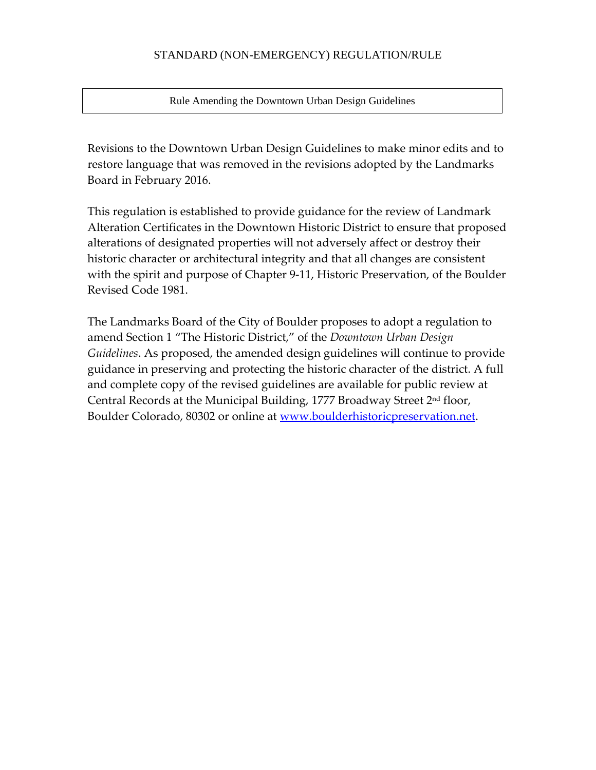## STANDARD (NON-EMERGENCY) REGULATION/RULE

Rule Amending the Downtown Urban Design Guidelines

Revisions to the Downtown Urban Design Guidelines to make minor edits and to restore language that was removed in the revisions adopted by the Landmarks Board in February 2016.

This regulation is established to provide guidance for the review of Landmark Alteration Certificates in the Downtown Historic District to ensure that proposed alterations of designated properties will not adversely affect or destroy their historic character or architectural integrity and that all changes are consistent with the spirit and purpose of Chapter 9‐11, Historic Preservation, of the Boulder Revised Code 1981.

The Landmarks Board of the City of Boulder proposes to adopt a regulation to amend Section 1 "The Historic District," of the *Downtown Urban Design Guidelines*. As proposed, the amended design guidelines will continue to provide guidance in preserving and protecting the historic character of the district. A full and complete copy of the revised guidelines are available for public review at Central Records at the Municipal Building, 1777 Broadway Street 2nd floor, Boulder Colorado, 80302 or online at www.boulderhistoricpreservation.net.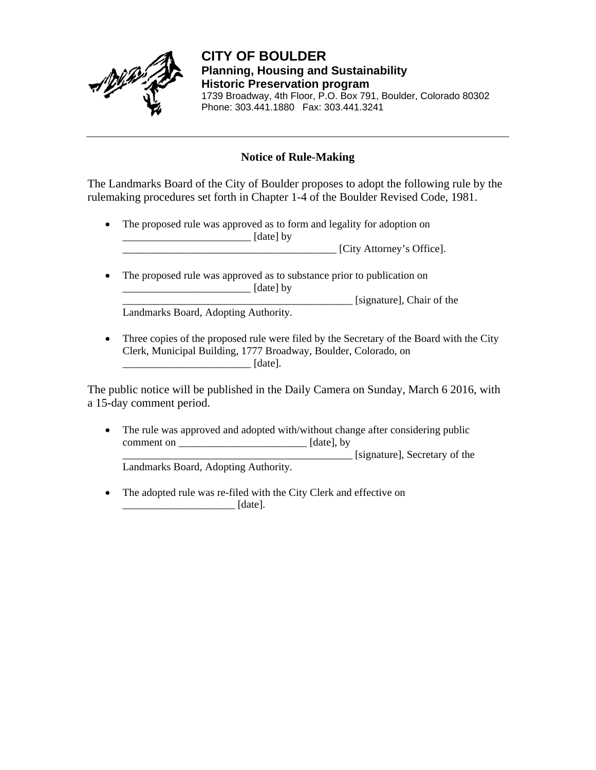

 **CITY OF BOULDER Planning, Housing and Sustainability Historic Preservation program**  1739 Broadway, 4th Floor, P.O. Box 791, Boulder, Colorado 80302 Phone: 303.441.1880 Fax: 303.441.3241

# **Notice of Rule-Making**

The Landmarks Board of the City of Boulder proposes to adopt the following rule by the rulemaking procedures set forth in Chapter 1-4 of the Boulder Revised Code, 1981.

 The proposed rule was approved as to form and legality for adoption on  $\Box$  [date] by

\_\_\_\_\_\_\_\_\_\_\_\_\_\_\_\_\_\_\_\_\_\_\_\_\_\_\_\_\_\_\_\_\_\_\_\_\_\_\_\_ [City Attorney's Office].

 The proposed rule was approved as to substance prior to publication on \_\_\_\_\_\_\_\_\_\_\_\_\_\_\_\_\_\_\_\_\_\_\_\_ [date] by \_\_\_\_\_\_\_\_\_\_\_\_\_\_\_\_\_\_\_\_\_\_\_\_\_\_\_\_\_\_\_\_\_\_\_\_\_\_\_\_\_\_\_ [signature], Chair of the

Landmarks Board, Adopting Authority.

• Three copies of the proposed rule were filed by the Secretary of the Board with the City Clerk, Municipal Building, 1777 Broadway, Boulder, Colorado, on \_\_\_\_\_\_\_\_\_\_\_\_\_\_\_\_\_\_\_\_\_\_\_\_ [date].

The public notice will be published in the Daily Camera on Sunday, March 6 2016, with a 15-day comment period.

• The rule was approved and adopted with/without change after considering public comment on \_\_\_\_\_\_\_\_\_\_\_\_\_\_\_\_\_\_\_\_\_\_\_\_ [date], by \_\_\_\_\_\_\_\_\_\_\_\_\_\_\_\_\_\_\_\_\_\_\_\_\_\_\_\_\_\_\_\_\_\_\_\_\_\_\_\_\_\_\_ [signature], Secretary of the

Landmarks Board, Adopting Authority.

• The adopted rule was re-filed with the City Clerk and effective on  $\lceil \text{date} \rceil$ .